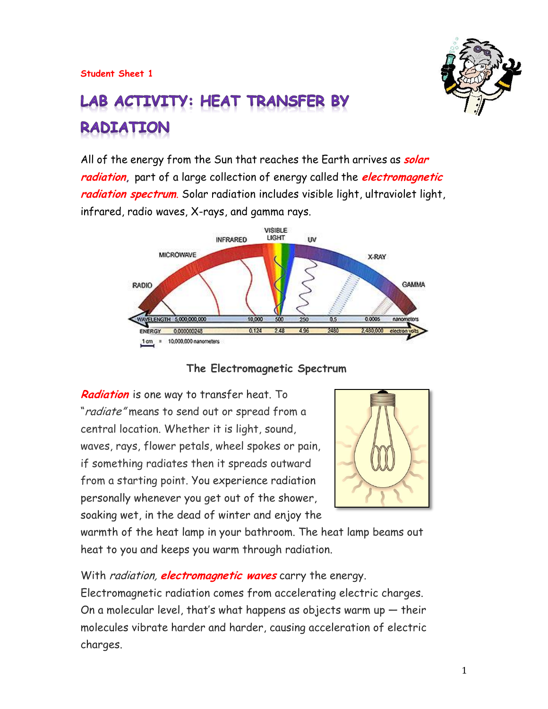

# LAB ACTIVITY: HEAT TRANSFER BY **RADIATION**

All of the energy from the Sun that reaches the Earth arrives as **solar radiation,** part of a large collection of energy called the **electromagnetic radiation spectrum**. Solar radiation includes visible light, ultraviolet light, infrared, radio waves, X-rays, and gamma rays.



 **The Electromagnetic Spectrum**

**Radiation** is one way to transfer heat. To "radiate" means to send out or spread from a central location. Whether it is light, sound, waves, rays, flower petals, wheel spokes or pain, if something radiates then it spreads outward from a starting point. You experience radiation personally whenever you get out of the shower, soaking wet, in the dead of winter and enjoy the



warmth of the heat lamp in your bathroom. The heat lamp beams out heat to you and keeps you warm through radiation.

With radiation, **electromagnetic waves** carry the energy. Electromagnetic radiation comes from accelerating electric charges. On a molecular level, that's what happens as objects warm up  $-$  their molecules vibrate harder and harder, causing acceleration of electric charges.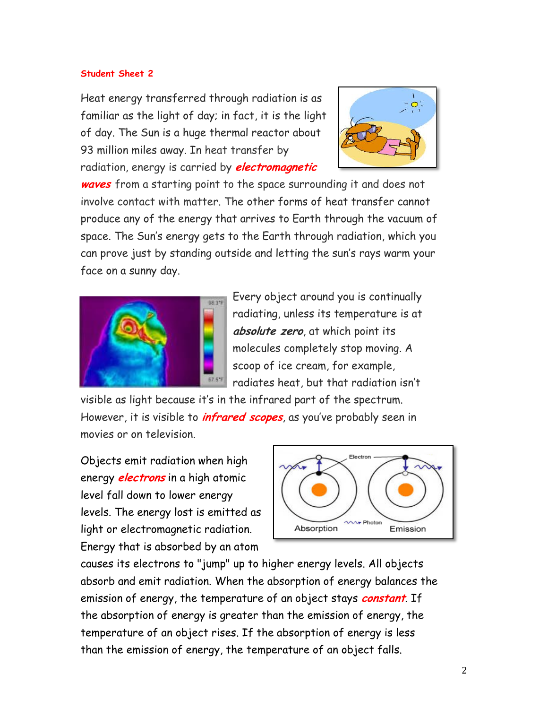Heat energy transferred through radiation is as familiar as the light of day; in fact, it is the light of day. The Sun is a huge thermal reactor about 93 million miles away. In heat transfer by radiation, energy is carried by **electromagnetic** 



**waves** from a starting point to the space surrounding it and does not involve contact with matter. The other forms of heat transfer cannot produce any of the energy that arrives to Earth through the vacuum of space. The Sun's energy gets to the Earth through radiation, which you can prove just by standing outside and letting the sun's rays warm your face on a sunny day.



Every object around you is continually radiating, unless its temperature is at **absolute zero**, at which point its molecules completely stop moving. A scoop of ice cream, for example, radiates heat, but that radiation isn't

visible as light because it's in the infrared part of the spectrum. However, it is visible to **infrared scopes**, as you've probably seen in movies or on television.

Objects emit radiation when high energy **electrons** in a high atomic level fall down to lower energy levels. The energy lost is emitted as light or electromagnetic radiation. Energy that is absorbed by an atom



causes its electrons to "jump" up to higher energy levels. All objects absorb and emit radiation. When the absorption of energy balances the emission of energy, the temperature of an object stays **constant**. If the absorption of energy is greater than the emission of energy, the temperature of an object rises. If the absorption of energy is less than the emission of energy, the temperature of an object falls.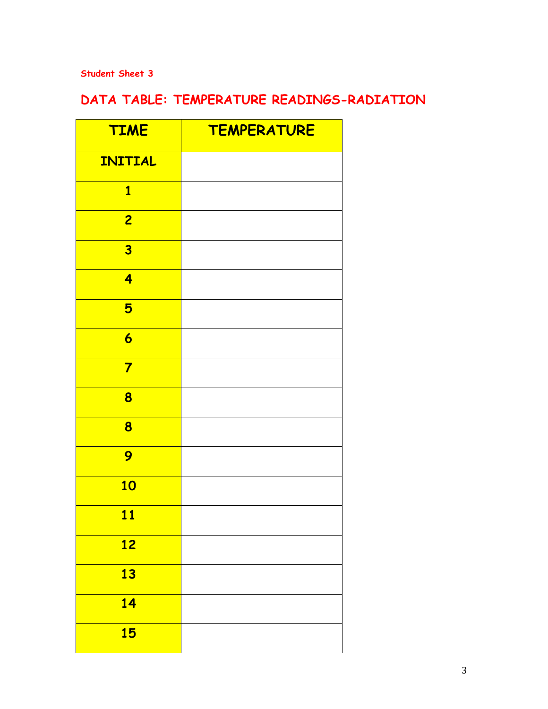# **DATA TABLE: TEMPERATURE READINGS-RADIATION**

| <b>TIME</b>             | <b>TEMPERATURE</b> |
|-------------------------|--------------------|
| <b>INITIAL</b>          |                    |
| $\overline{\mathbf{1}}$ |                    |
| $\overline{2}$          |                    |
| $\overline{\mathbf{3}}$ |                    |
| 4                       |                    |
| 5                       |                    |
| $\overline{\mathbf{6}}$ |                    |
| $\overline{\mathbf{7}}$ |                    |
| 8                       |                    |
| 8                       |                    |
| 9                       |                    |
| <b>10</b>               |                    |
| 11                      |                    |
| <u>12</u>               |                    |
| 13                      |                    |
| <b>14</b>               |                    |
| <b>15</b>               |                    |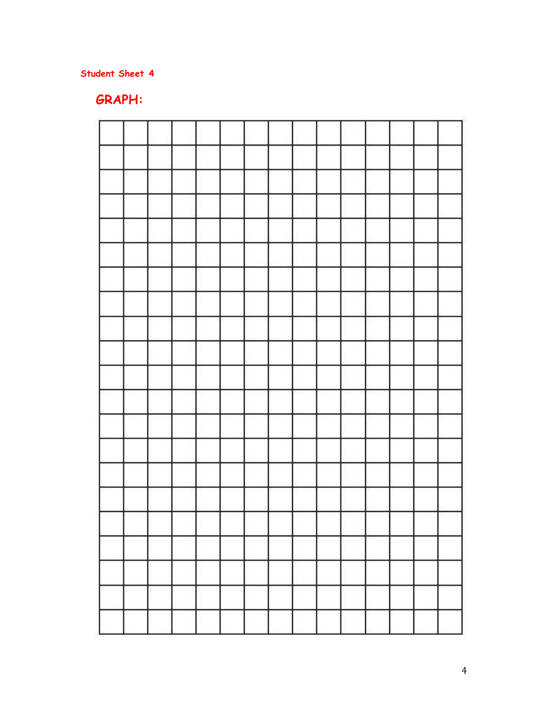## **GRAPH:**